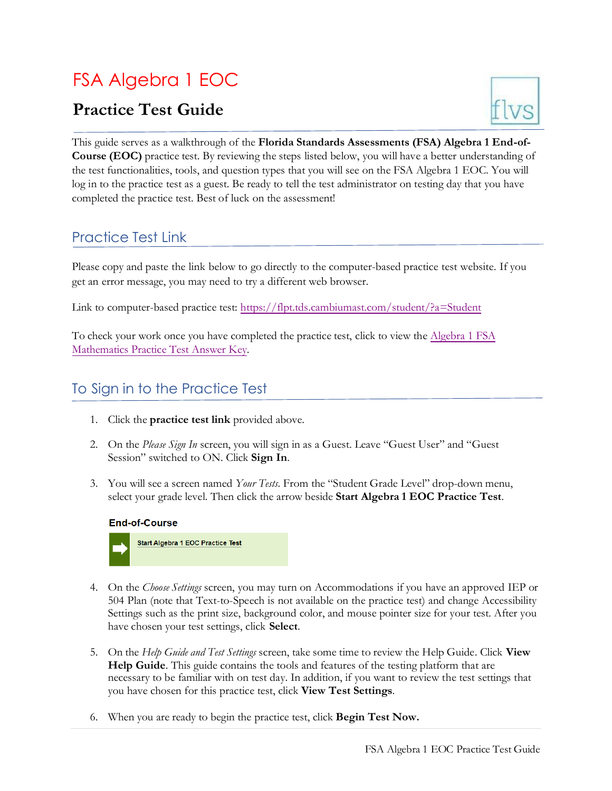# FSA Algebra 1 EOC

## **Practice Test Guide**



This guide serves as a walkthrough of the **Florida Standards Assessments (FSA) Algebra 1 End-of-Course (EOC)** practice test. By reviewing the steps listed below, you will have a better understanding of the test functionalities, tools, and question types that you will see on the FSA Algebra 1 EOC. You will log in to the practice test as a guest. Be ready to tell the test administrator on testing day that you have completed the practice test. Best of luck on the assessment!

#### Practice Test Link

Please copy and paste the link below to go directly to the computer-based practice test website. If you get an error message, you may need to try a different web browser.

Link to computer-based practice test:<https://flpt.tds.cambiumast.com/student/?a=Student>

To check your work once you have completed the practice test, click to view the [Algebra 1 FSA](https://fsassessments.org/-/media/project/client-portals/florida/pdf/2019q3/fsa_2020_alg1_mtb_practice-test_answer-key_cbt.pdf)  [Mathematics Practice Test Answer Key.](https://fsassessments.org/-/media/project/client-portals/florida/pdf/2019q3/fsa_2020_alg1_mtb_practice-test_answer-key_cbt.pdf)

#### To Sign in to the Practice Test

- 1. Click the **practice test link** provided above.
- 2. On the *Please Sign In* screen, you will sign in as a Guest. Leave "Guest User" and "Guest Session" switched to ON. Click **Sign In**.
- 3. You will see a screen named *Your Tests*. From the "Student Grade Level" drop-down menu, select your grade level. Then click the arrow beside **Start Algebra 1 EOC Practice Test**.



- 4. On the *Choose Settings* screen, you may turn on Accommodations if you have an approved IEP or 504 Plan (note that Text-to-Speech is not available on the practice test) and change Accessibility Settings such as the print size, background color, and mouse pointer size for your test. After you have chosen your test settings, click **Select**.
- 5. On the *Help Guide and Test Settings* screen, take some time to review the Help Guide. Click **View Help Guide**. This guide contains the tools and features of the testing platform that are necessary to be familiar with on test day. In addition, if you want to review the test settings that you have chosen for this practice test, click **View Test Settings**.
- 6. When you are ready to begin the practice test, click **Begin Test Now.**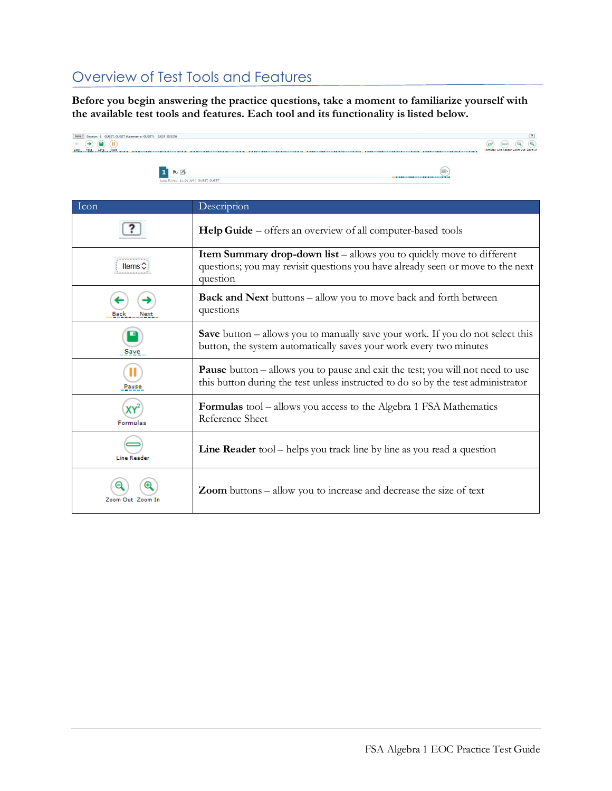#### Overview of Test Tools and Features

**Before you begin answering the practice questions, take a moment to familiarize yourself with the available test tools and features. Each tool and its functionality is listed below.**



| Icon             | Description                                                                                                                                                                |
|------------------|----------------------------------------------------------------------------------------------------------------------------------------------------------------------------|
|                  | Help Guide – offers an overview of all computer-based tools                                                                                                                |
|                  | <b>Item Summary drop-down list</b> – allows you to quickly move to different<br>questions; you may revisit questions you have already seen or move to the next<br>question |
| Next             | <b>Back and Next</b> buttons – allow you to move back and forth between<br>questions                                                                                       |
| Save             | <b>Save</b> button – allows you to manually save your work. If you do not select this<br>button, the system automatically saves your work every two minutes                |
| Pause            | <b>Pause</b> button – allows you to pause and exit the test; you will not need to use<br>this button during the test unless instructed to do so by the test administrator  |
| <b>Formulas</b>  | <b>Formulas</b> tool – allows you access to the Algebra 1 FSA Mathematics<br>Reference Sheet                                                                               |
| Line Reader      | <b>Line Reader</b> tool – helps you track line by line as you read a question                                                                                              |
| Zoom Out Zoom In | <b>Zoom</b> buttons – allow you to increase and decrease the size of text                                                                                                  |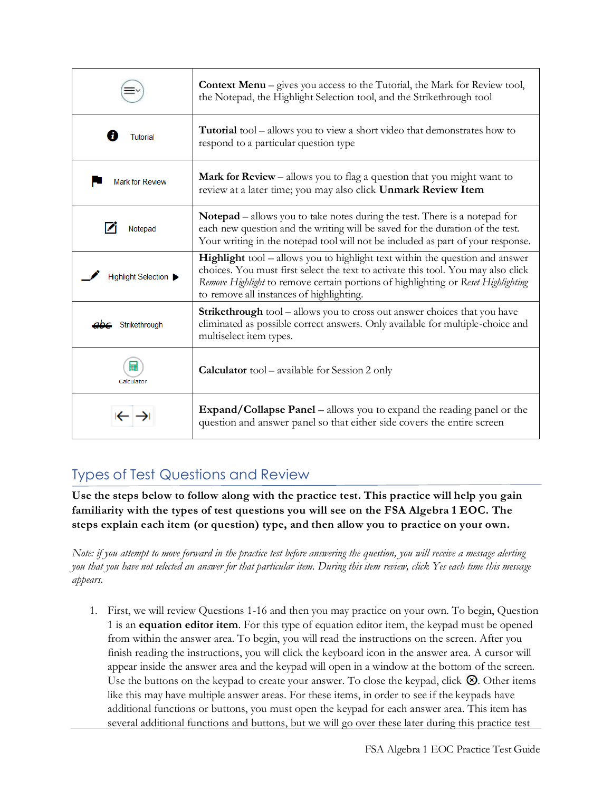|                                           | <b>Context Menu</b> – gives you access to the Tutorial, the Mark for Review tool,<br>the Notepad, the Highlight Selection tool, and the Strikethrough tool                                                                                                                                                |
|-------------------------------------------|-----------------------------------------------------------------------------------------------------------------------------------------------------------------------------------------------------------------------------------------------------------------------------------------------------------|
| <b>Tutorial</b>                           | Tutorial tool - allows you to view a short video that demonstrates how to<br>respond to a particular question type                                                                                                                                                                                        |
| <b>Mark for Review</b>                    | <b>Mark for Review</b> – allows you to flag a question that you might want to<br>review at a later time; you may also click Unmark Review Item                                                                                                                                                            |
| Notepad                                   | <b>Notepad</b> – allows you to take notes during the test. There is a notepad for<br>each new question and the writing will be saved for the duration of the test.<br>Your writing in the notepad tool will not be included as part of your response.                                                     |
| Highlight Selection $\blacktriangleright$ | <b>Highlight</b> tool – allows you to highlight text within the question and answer<br>choices. You must first select the text to activate this tool. You may also click<br>Remove Highlight to remove certain portions of highlighting or Reset Highlighting<br>to remove all instances of highlighting. |
| Strikethrough                             | <b>Strikethrough</b> tool – allows you to cross out answer choices that you have<br>eliminated as possible correct answers. Only available for multiple-choice and<br>multiselect item types.                                                                                                             |
| Calculator                                | <b>Calculator</b> tool – available for Session 2 only                                                                                                                                                                                                                                                     |
|                                           | <b>Expand/Collapse Panel</b> – allows you to expand the reading panel or the<br>question and answer panel so that either side covers the entire screen                                                                                                                                                    |

### Types of Test Questions and Review

**Use the steps below to follow along with the practice test. This practice will help you gain familiarity with the types of test questions you will see on the FSA Algebra 1 EOC. The steps explain each item (or question) type, and then allow you to practice on your own.**

*Note: if you attempt to move forward in the practice test before answering the question, you will receive a message alerting* you that you have not selected an answer for that particular item. During this item review, click Yes each time this message *appears.*

1. First, we will review Questions 1-16 and then you may practice on your own. To begin, Question 1 is an **equation editor item**. For this type of equation editor item, the keypad must be opened from within the answer area. To begin, you will read the instructions on the screen. After you finish reading the instructions, you will click the keyboard icon in the answer area. A cursor will appear inside the answer area and the keypad will open in a window at the bottom of the screen. Use the buttons on the keypad to create your answer. To close the keypad, click  $\otimes$ . Other items like this may have multiple answer areas. For these items, in order to see if the keypads have additional functions or buttons, you must open the keypad for each answer area. This item has several additional functions and buttons, but we will go over these later during this practice test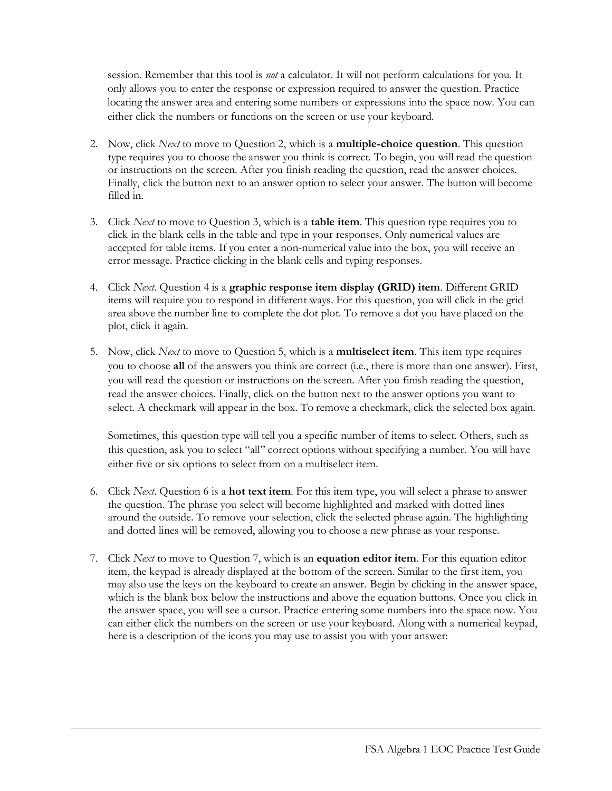session. Remember that this tool is *not* a calculator. It will not perform calculations for you. It only allows you to enter the response or expression required to answer the question. Practice locating the answer area and entering some numbers or expressions into the space now. You can either click the numbers or functions on the screen or use your keyboard.

- 2. Now, click *Next* to move to Question 2, which is a **multiple-choice question**. This question type requires you to choose the answer you think is correct. To begin, you will read the question or instructions on the screen. After you finish reading the question, read the answer choices. Finally, click the button next to an answer option to select your answer. The button will become filled in.
- 3. Click *Next* to move to Question 3, which is a **table item**. This question type requires you to click in the blank cells in the table and type in your responses. Only numerical values are accepted for table items. If you enter a non-numerical value into the box, you will receive an error message. Practice clicking in the blank cells and typing responses.
- 4. Click *Next*. Question 4 is a **graphic response item display (GRID) item**. Different GRID items will require you to respond in different ways. For this question, you will click in the grid area above the number line to complete the dot plot. To remove a dot you have placed on the plot, click it again.
- 5. Now, click *Next* to move to Question 5, which is a **multiselect item**. This item type requires you to choose **all** of the answers you think are correct (i.e., there is more than one answer). First, you will read the question or instructions on the screen. After you finish reading the question, read the answer choices. Finally, click on the button next to the answer options you want to select. A checkmark will appear in the box. To remove a checkmark, click the selected box again.

Sometimes, this question type will tell you a specific number of items to select. Others, such as this question, ask you to select "all" correct options without specifying a number. You will have either five or six options to select from on a multiselect item.

- 6. Click *Next*. Question 6 is a **hot text item**. For this item type, you will select a phrase to answer the question. The phrase you select will become highlighted and marked with dotted lines around the outside. To remove your selection, click the selected phrase again. The highlighting and dotted lines will be removed, allowing you to choose a new phrase as your response.
- 7. Click *Next* to move to Question 7, which is an **equation editor item**. For this equation editor item, the keypad is already displayed at the bottom of the screen. Similar to the first item, you may also use the keys on the keyboard to create an answer. Begin by clicking in the answer space, which is the blank box below the instructions and above the equation buttons. Once you click in the answer space, you will see a cursor. Practice entering some numbers into the space now. You can either click the numbers on the screen or use your keyboard. Along with a numerical keypad, here is a description of the icons you may use to assist you with your answer: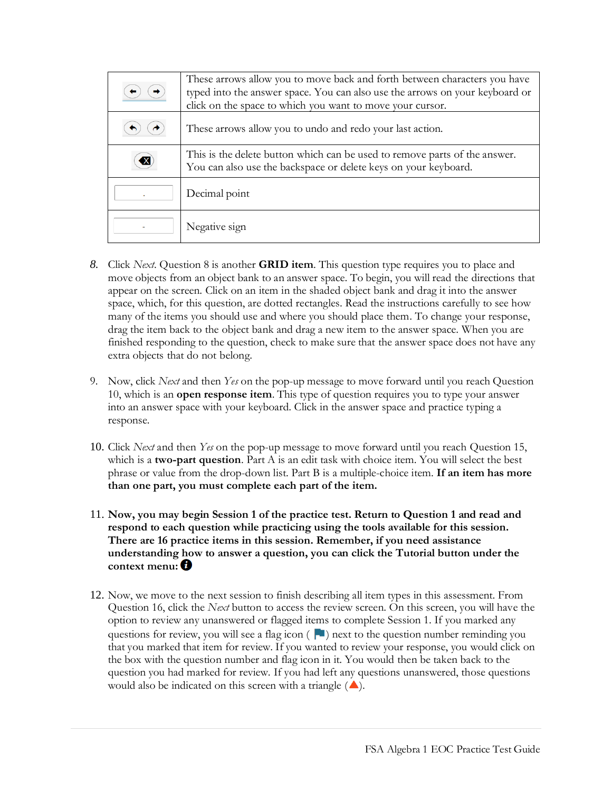| These arrows allow you to move back and forth between characters you have<br>typed into the answer space. You can also use the arrows on your keyboard or<br>click on the space to which you want to move your cursor. |
|------------------------------------------------------------------------------------------------------------------------------------------------------------------------------------------------------------------------|
| These arrows allow you to undo and redo your last action.                                                                                                                                                              |
| This is the delete button which can be used to remove parts of the answer.<br>You can also use the backspace or delete keys on your keyboard.                                                                          |
| Decimal point                                                                                                                                                                                                          |
| Negative sign                                                                                                                                                                                                          |

- *8.* Click *Next*. Question 8 is another **GRID item**. This question type requires you to place and move objects from an object bank to an answer space. To begin, you will read the directions that appear on the screen. Click on an item in the shaded object bank and drag it into the answer space, which, for this question, are dotted rectangles. Read the instructions carefully to see how many of the items you should use and where you should place them. To change your response, drag the item back to the object bank and drag a new item to the answer space. When you are finished responding to the question, check to make sure that the answer space does not have any extra objects that do not belong.
- 9. Now, click *Next* and then *Yes* on the pop-up message to move forward until you reach Question 10, which is an **open response item**. This type of question requires you to type your answer into an answer space with your keyboard. Click in the answer space and practice typing a response.
- 10. Click *Next* and then *Yes* on the pop-up message to move forward until you reach Question 15, which is a **two-part question**. Part A is an edit task with choice item. You will select the best phrase or value from the drop-down list. Part B is a multiple-choice item. **If an item has more than one part, you must complete each part of the item.**
- 11. **Now, you may begin Session 1 of the practice test. Return to Question 1 and read and respond to each question while practicing using the tools available for this session. There are 16 practice items in this session. Remember, if you need assistance understanding how to answer a question, you can click the Tutorial button under the context menu:**
- 12. Now, we move to the next session to finish describing all item types in this assessment. From Question 16, click the *Next* button to access the review screen. On this screen, you will have the option to review any unanswered or flagged items to complete Session 1. If you marked any questions for review, you will see a flag icon ( $\Box$ ) next to the question number reminding you that you marked that item for review. If you wanted to review your response, you would click on the box with the question number and flag icon in it. You would then be taken back to the question you had marked for review. If you had left any questions unanswered, those questions would also be indicated on this screen with a triangle  $(\triangle)$ .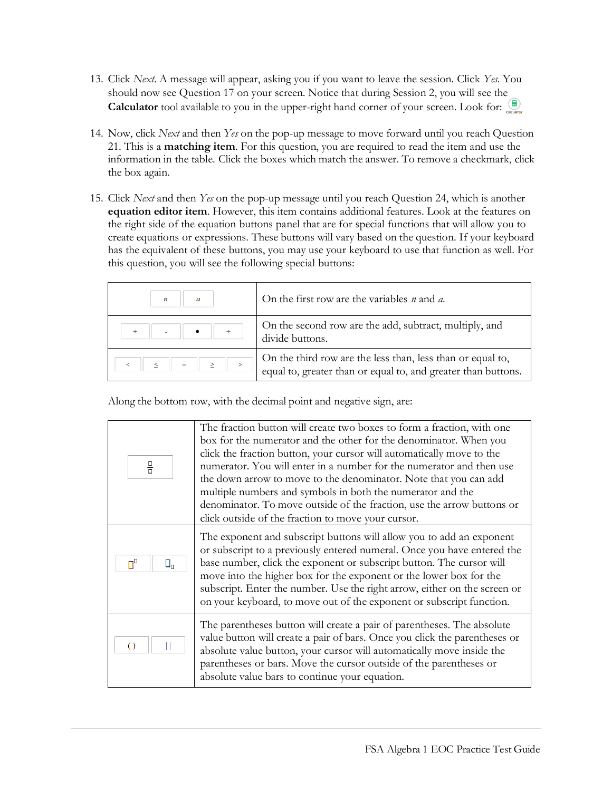- 13. Click *Next*. A message will appear, asking you if you want to leave the session. Click *Yes*. You should now see Question 17 on your screen. Notice that during Session 2, you will see the **Calculator** tool available to you in the upper-right hand corner of your screen. Look for:
- 14. Now, click *Next* and then *Yes* on the pop-up message to move forward until you reach Question 21. This is a **matching item**. For this question, you are required to read the item and use the information in the table. Click the boxes which match the answer. To remove a checkmark, click the box again.
- 15. Click *Next* and then *Yes* on the pop-up message until you reach Question 24, which is another **equation editor item**. However, this item contains additional features. Look at the features on the right side of the equation buttons panel that are for special functions that will allow you to create equations or expressions. These buttons will vary based on the question. If your keyboard has the equivalent of these buttons, you may use your keyboard to use that function as well. For this question, you will see the following special buttons:

| $\boldsymbol{n}$ | On the first row are the variables $n$ and $a$ .                                                                            |
|------------------|-----------------------------------------------------------------------------------------------------------------------------|
| ÷                | On the second row are the add, subtract, multiply, and<br>divide buttons.                                                   |
| $=$              | On the third row are the less than, less than or equal to,<br>equal to, greater than or equal to, and greater than buttons. |

Along the bottom row, with the decimal point and negative sign, are:

| 믐                        | The fraction button will create two boxes to form a fraction, with one<br>box for the numerator and the other for the denominator. When you<br>click the fraction button, your cursor will automatically move to the<br>numerator. You will enter in a number for the numerator and then use<br>the down arrow to move to the denominator. Note that you can add<br>multiple numbers and symbols in both the numerator and the<br>denominator. To move outside of the fraction, use the arrow buttons or<br>click outside of the fraction to move your cursor. |
|--------------------------|----------------------------------------------------------------------------------------------------------------------------------------------------------------------------------------------------------------------------------------------------------------------------------------------------------------------------------------------------------------------------------------------------------------------------------------------------------------------------------------------------------------------------------------------------------------|
| $\Pi^{\Box}$<br>$\Box_n$ | The exponent and subscript buttons will allow you to add an exponent<br>or subscript to a previously entered numeral. Once you have entered the<br>base number, click the exponent or subscript button. The cursor will<br>move into the higher box for the exponent or the lower box for the<br>subscript. Enter the number. Use the right arrow, either on the screen or<br>on your keyboard, to move out of the exponent or subscript function.                                                                                                             |
| $\left( \right)$         | The parentheses button will create a pair of parentheses. The absolute<br>value button will create a pair of bars. Once you click the parentheses or<br>absolute value button, your cursor will automatically move inside the<br>parentheses or bars. Move the cursor outside of the parentheses or<br>absolute value bars to continue your equation.                                                                                                                                                                                                          |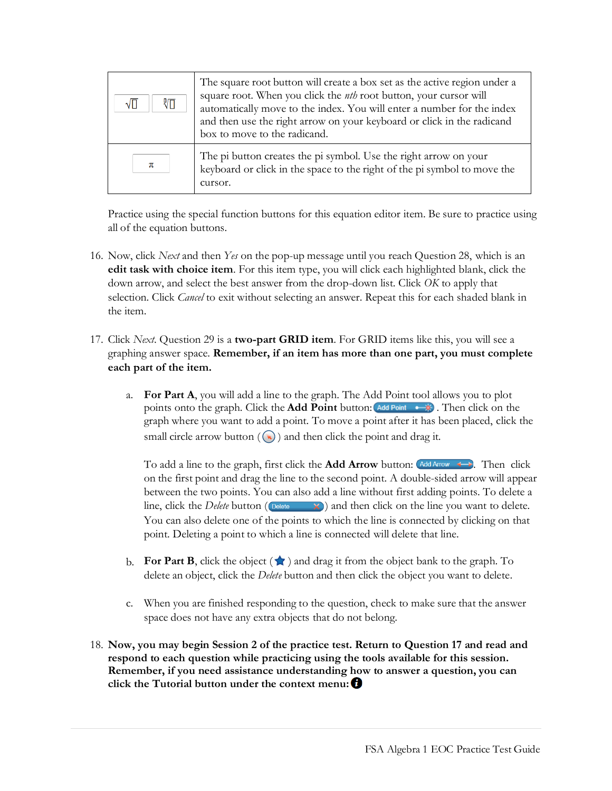| 们<br>$\sqrt{\Box}$ | The square root button will create a box set as the active region under a<br>square root. When you click the <i>nth</i> root button, your cursor will<br>automatically move to the index. You will enter a number for the index<br>and then use the right arrow on your keyboard or click in the radicand<br>box to move to the radicand. |
|--------------------|-------------------------------------------------------------------------------------------------------------------------------------------------------------------------------------------------------------------------------------------------------------------------------------------------------------------------------------------|
| π                  | The pi button creates the pi symbol. Use the right arrow on your<br>keyboard or click in the space to the right of the pi symbol to move the<br>cursor.                                                                                                                                                                                   |

Practice using the special function buttons for this equation editor item. Be sure to practice using all of the equation buttons.

- 16. Now, click *Next* and then *Yes* on the pop-up message until you reach Question 28, which is an **edit task with choice item**. For this item type, you will click each highlighted blank, click the down arrow, and select the best answer from the drop-down list. Click *OK* to apply that selection. Click *Cancel* to exit without selecting an answer. Repeat this for each shaded blank in the item.
- 17. Click *Next*. Question 29 is a **two-part GRID item**. For GRID items like this, you will see a graphing answer space. **Remember, if an item has more than one part, you must complete each part of the item.**
	- a. **For Part A**, you will add a line to the graph. The Add Point tool allows you to plot points onto the graph. Click the **Add Point** button:  $\overrightarrow{A}$   $\overrightarrow{A}$ . Then click on the graph where you want to add a point. To move a point after it has been placed, click the small circle arrow button  $(\bullet)$  and then click the point and drag it.

To add a line to the graph, first click the **Add Arrow** button:  $\overrightarrow{Add \text{ Arow}}$  **Then** click on the first point and drag the line to the second point. A double-sided arrow will appear between the two points. You can also add a line without first adding points. To delete a line, click the *Delete* button ( $\Box$   $\Box$ ) and then click on the line you want to delete. You can also delete one of the points to which the line is connected by clicking on that point. Deleting a point to which a line is connected will delete that line.

- **b. For Part B**, click the object  $(\star)$  and drag it from the object bank to the graph. To delete an object, click the *Delete* button and then click the object you want to delete.
- c. When you are finished responding to the question, check to make sure that the answer space does not have any extra objects that do not belong.
- 18. **Now, you may begin Session 2 of the practice test. Return to Question 17 and read and respond to each question while practicing using the tools available for this session. Remember, if you need assistance understanding how to answer a question, you can click the Tutorial button under the context menu:**